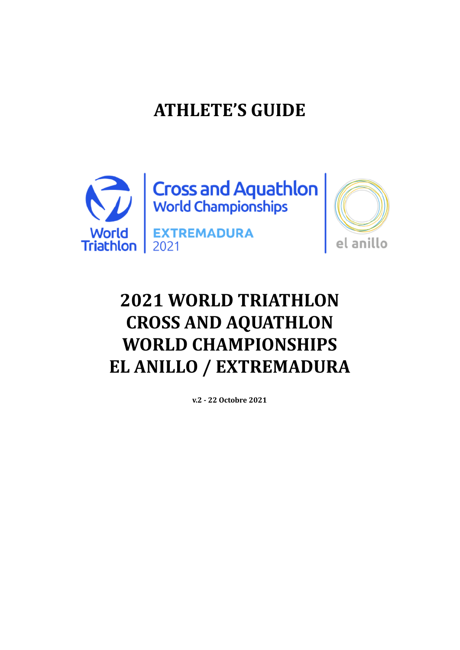# **ATHLETE'S GUIDE**





# **2021 WORLD TRIATHLON CROSS AND AQUATHLON WORLD CHAMPIONSHIPS EL ANILLO / EXTREMADURA**

**v.2 - 22 Octobre 2021**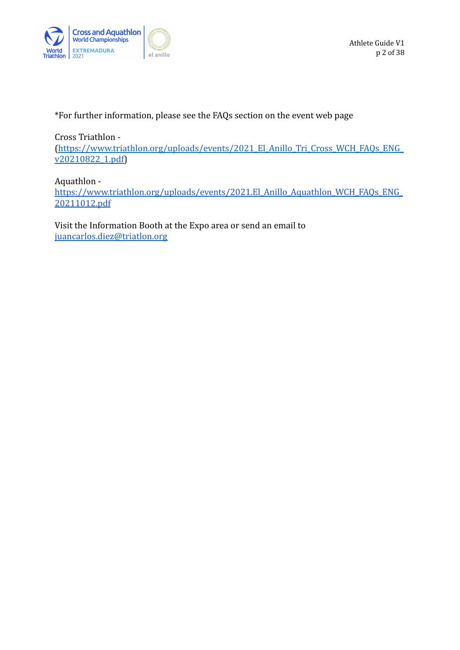

\*For further information, please see the FAQs section on the event web page

Cross Triathlon -

[\(https://www.triathlon.org/uploads/events/2021\\_El\\_Anillo\\_Tri\\_Cross\\_WCH\\_FAQs\\_ENG\\_](https://www.triathlon.org/uploads/events/2021_El_Anillo_Tri_Cross_WCH_FAQs_ENG_v20210822_1.pdf) [v20210822\\_1.pdf\)](https://www.triathlon.org/uploads/events/2021_El_Anillo_Tri_Cross_WCH_FAQs_ENG_v20210822_1.pdf)

Aquathlon [https://www.triathlon.org/uploads/events/2021.El\\_Anillo\\_Aquathlon\\_WCH\\_FAQs\\_ENG\\_](https://www.triathlon.org/uploads/events/2021.El_Anillo_Aquathlon_WCH_FAQs_ENG_20211012.pdf) [20211012.pdf](https://www.triathlon.org/uploads/events/2021.El_Anillo_Aquathlon_WCH_FAQs_ENG_20211012.pdf)

Visit the Information Booth at the Expo area or send an email to [juancarlos.diez@triatlon.org](mailto:juancarlos.diez@triatlon.org)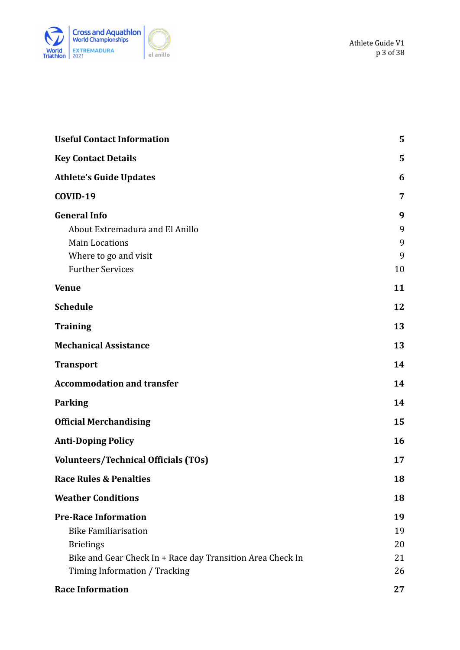



| <b>Useful Contact Information</b>                          | 5  |
|------------------------------------------------------------|----|
| <b>Key Contact Details</b>                                 | 5  |
| <b>Athlete's Guide Updates</b>                             | 6  |
| COVID-19                                                   | 7  |
| <b>General Info</b>                                        | 9  |
| About Extremadura and El Anillo                            | 9  |
| <b>Main Locations</b>                                      | 9  |
| Where to go and visit                                      | 9  |
| <b>Further Services</b>                                    | 10 |
| <b>Venue</b>                                               | 11 |
| <b>Schedule</b>                                            | 12 |
| <b>Training</b>                                            | 13 |
| <b>Mechanical Assistance</b>                               | 13 |
| <b>Transport</b>                                           | 14 |
| <b>Accommodation and transfer</b>                          | 14 |
| <b>Parking</b>                                             | 14 |
| <b>Official Merchandising</b>                              | 15 |
| <b>Anti-Doping Policy</b>                                  | 16 |
| <b>Volunteers/Technical Officials (TOs)</b>                | 17 |
| <b>Race Rules &amp; Penalties</b>                          | 18 |
| <b>Weather Conditions</b>                                  | 18 |
| <b>Pre-Race Information</b>                                | 19 |
| <b>Bike Familiarisation</b>                                | 19 |
| <b>Briefings</b>                                           | 20 |
| Bike and Gear Check In + Race day Transition Area Check In | 21 |
| Timing Information / Tracking                              | 26 |
| <b>Race Information</b>                                    | 27 |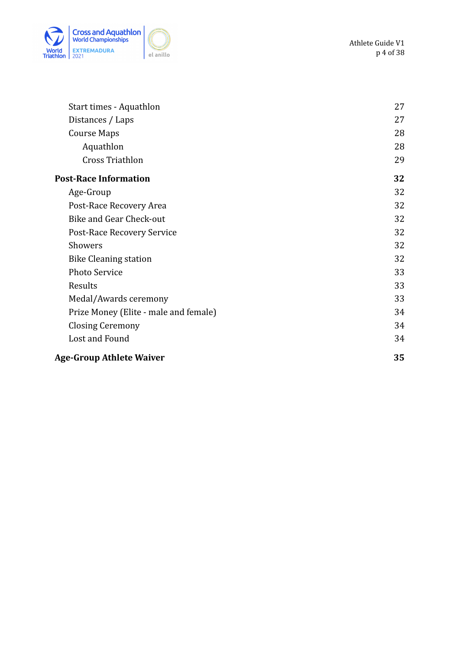

| Start times - Aquathlon               | 27 |
|---------------------------------------|----|
| Distances / Laps                      | 27 |
| <b>Course Maps</b>                    | 28 |
| Aquathlon                             | 28 |
| <b>Cross Triathlon</b>                | 29 |
| <b>Post-Race Information</b>          | 32 |
| Age-Group                             | 32 |
| Post-Race Recovery Area               | 32 |
| Bike and Gear Check-out               | 32 |
| Post-Race Recovery Service            | 32 |
| Showers                               | 32 |
| <b>Bike Cleaning station</b>          | 32 |
| <b>Photo Service</b>                  | 33 |
| Results                               | 33 |
| Medal/Awards ceremony                 | 33 |
| Prize Money (Elite - male and female) | 34 |
| <b>Closing Ceremony</b>               | 34 |
| Lost and Found                        | 34 |
| <b>Age-Group Athlete Waiver</b>       | 35 |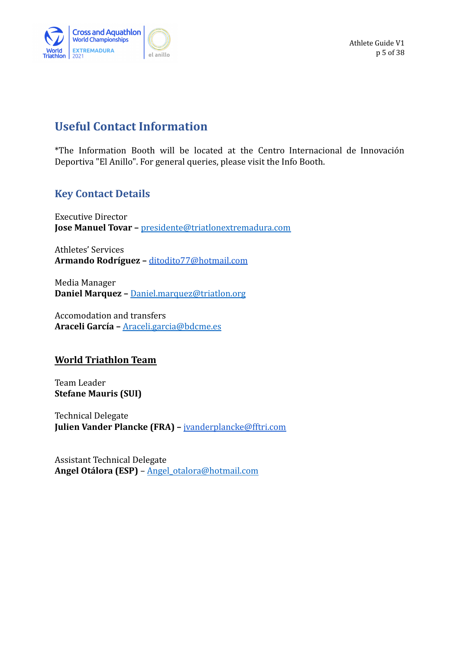

Athlete Guide V1 p 5 of 38

## <span id="page-4-0"></span>**Useful Contact Information**

\*The Information Booth will be located at the Centro Internacional de Innovación Deportiva "El Anillo". For general queries, please visit the Info Booth.

### <span id="page-4-1"></span>**Key Contact Details**

Executive Director **Jose Manuel Tovar –** [presidente@triatlonextremadura.com](mailto:presidente@triatlonextremadura.com)

Athletes' Services **Armando Rodríguez –** [ditodito77@hotmail.com](mailto:ditodito77@hotmail.com)

Media Manager **Daniel Marquez –** Daniel.marquez@triatlon.org

Accomodation and transfers **Araceli García –** [Araceli.garcia@bdcme.es](mailto:Araceli.garcia@bdcme.es)

### **World Triathlon Team**

Team Leader **Stefane Mauris (SUI)**

Technical Delegate **Julien Vander Plancke (FRA) –** [jvanderplancke@fftri.com](mailto:jvanderplancke@fftri.com)

Assistant Technical Delegate **Angel Otálora (ESP)** – [Angel\\_otalora@hotmail.com](mailto:Angel_otalora@hotmail.com)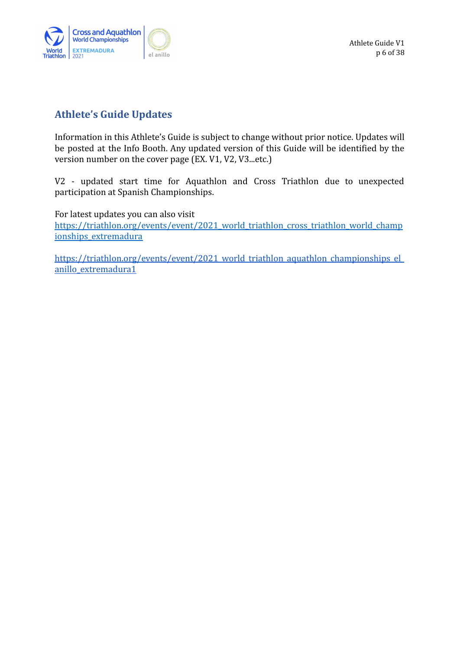

## <span id="page-5-0"></span>**Athlete's Guide Updates**

Information in this Athlete's Guide is subject to change without prior notice. Updates will be posted at the Info Booth. Any updated version of this Guide will be identified by the version number on the cover page (EX. V1, V2, V3...etc.)

V2 - updated start time for Aquathlon and Cross Triathlon due to unexpected participation at Spanish Championships.

For latest updates you can also visit [https://triathlon.org/events/event/2021\\_world\\_triathlon\\_cross\\_triathlon\\_world\\_champ](https://triathlon.org/events/event/2021_world_triathlon_cross_triathlon_world_championships_extremadura) [ionships\\_extremadura](https://triathlon.org/events/event/2021_world_triathlon_cross_triathlon_world_championships_extremadura)

[https://triathlon.org/events/event/2021\\_world\\_triathlon\\_aquathlon\\_championships\\_el\\_](https://triathlon.org/events/event/2021_world_triathlon_aquathlon_championships_el_anillo_extremadura1) [anillo\\_extremadura1](https://triathlon.org/events/event/2021_world_triathlon_aquathlon_championships_el_anillo_extremadura1)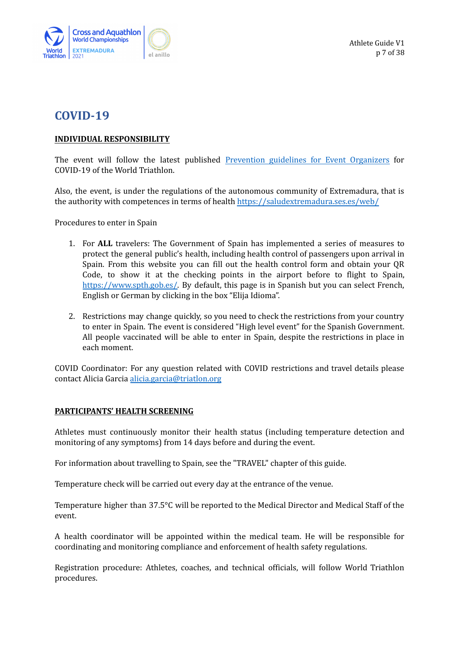

## <span id="page-6-0"></span>**COVID-19**

#### **INDIVIDUAL RESPONSIBILITY**

The event will follow the latest published [Prevention](https://www.triathlon.org/uploads/docs/20200101_Covid19_Guidelines_4.0.pdf) guidelines for Event Organizers for COVID-19 of the World Triathlon.

Also, the event, is under the regulations of the autonomous community of Extremadura, that is the authority with competences in terms of health <https://saludextremadura.ses.es/web/>

Procedures to enter in Spain

- 1. For **ALL** travelers: The Government of Spain has implemented a series of measures to protect the general public's health, including health control of passengers upon arrival in Spain. From this website you can fill out the health control form and obtain your QR Code, to show it at the checking points in the airport before to flight to Spain, [https://www.spth.gob.es/.](https://www.spth.gob.es/) By default, this page is in Spanish but you can select French, English or German by clicking in the box "Elija Idioma".
- 2. Restrictions may change quickly, so you need to check the restrictions from your country to enter in Spain. The event is considered "High level event" for the Spanish Government. All people vaccinated will be able to enter in Spain, despite the restrictions in place in each moment.

COVID Coordinator: For any question related with COVID restrictions and travel details please contact Alicia Garcia [alicia.garcia@triatlon.org](mailto:alicia.garcia@triatlon.org)

#### **PARTICIPANTS' HEALTH SCREENING**

Athletes must continuously monitor their health status (including temperature detection and monitoring of any symptoms) from 14 days before and during the event.

For information about travelling to Spain, see the "TRAVEL" chapter of this guide.

Temperature check will be carried out every day at the entrance of the venue.

Temperature higher than 37.5°C will be reported to the Medical Director and Medical Staff of the event.

A health coordinator will be appointed within the medical team. He will be responsible for coordinating and monitoring compliance and enforcement of health safety regulations.

Registration procedure: Athletes, coaches, and technical officials, will follow World Triathlon procedures.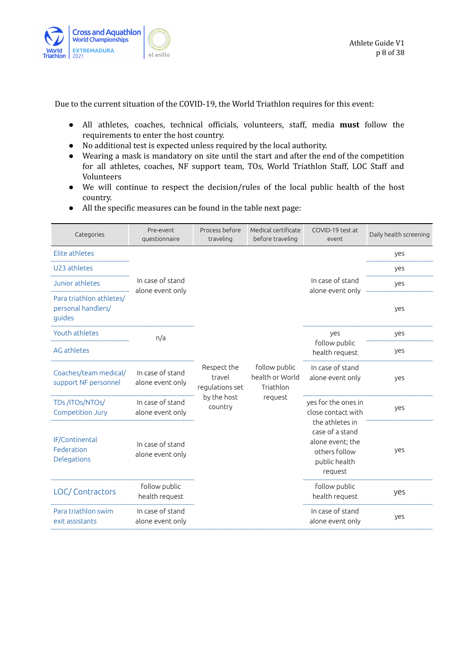

Due to the current situation of the COVID-19, the World Triathlon requires for this event:

- All athletes, coaches, technical officials, volunteers, staff, media **must** follow the requirements to enter the host country.
- No additional test is expected unless required by the local authority.
- Wearing a mask is mandatory on site until the start and after the end of the competition for all athletes, coaches, NF support team, TOs, World Triathlon Staff, LOC Staff and Volunteers
- We will continue to respect the decision/rules of the local public health of the host country.
- All the specific measures can be found in the table next page:

| Categories                                               | Pre-event<br>questionnaire           | Process before<br>traveling              | Medical certificate<br>before traveling                  | COVID-19 test at<br>event                                                                           | Daily health screening |
|----------------------------------------------------------|--------------------------------------|------------------------------------------|----------------------------------------------------------|-----------------------------------------------------------------------------------------------------|------------------------|
| Elite athletes                                           |                                      |                                          |                                                          |                                                                                                     | yes                    |
| U23 athletes                                             |                                      |                                          |                                                          |                                                                                                     | yes                    |
| Junior athletes                                          | In case of stand<br>alone event only |                                          |                                                          | In case of stand<br>alone event only                                                                | ves                    |
| Para triathlon athletes/<br>personal handlers/<br>quides |                                      |                                          |                                                          |                                                                                                     | yes                    |
| Youth athletes                                           | n/a                                  |                                          |                                                          | yes                                                                                                 | yes                    |
| AG athletes                                              |                                      |                                          |                                                          | follow public<br>health request                                                                     | yes                    |
| Coaches/team medical/<br>support NF personnel            | In case of stand<br>alone event only | Respect the<br>travel<br>regulations set | follow public<br>health or World<br>Triathlon<br>request | In case of stand<br>alone event only                                                                | yes                    |
| TDs/ITOs/NTOs/<br>Competition Jury                       | In case of stand<br>alone event only | by the host<br>country                   |                                                          | yes for the ones in<br>close contact with                                                           | yes                    |
| IF/Continental<br>Federation<br>Delegations              | In case of stand<br>alone event only |                                          |                                                          | the athletes in<br>case of a stand<br>alone event; the<br>others follow<br>public health<br>request | yes                    |
| LOC/ Contractors                                         | follow public<br>health request      |                                          |                                                          | follow public<br>health request                                                                     | yes                    |
| Para triathlon swim<br>exit assistants                   | In case of stand<br>alone event only |                                          |                                                          | In case of stand<br>alone event only                                                                | yes                    |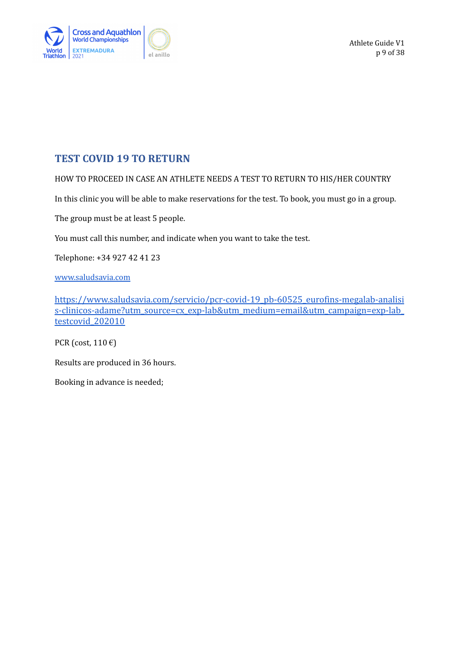

## **TEST COVID 19 TO RETURN**

HOW TO PROCEED IN CASE AN ATHLETE NEEDS A TEST TO RETURN TO HIS/HER COUNTRY

In this clinic you will be able to make reservations for the test. To book, you must go in a group.

The group must be at least 5 people.

You must call this number, and indicate when you want to take the test.

Telephone: +34 927 42 41 23

[www.saludsavia.com](http://www.saludsavia.com)

[https://www.saludsavia.com/servicio/pcr-covid-19\\_pb-60525\\_eurofins-megalab-analisi](https://www.saludsavia.com/servicio/pcr-covid-19_pb-60525_eurofins-megalab-analisis-clinicos-adame?utm_source=cx_exp-lab&utm_medium=email&utm_campaign=exp-lab_testcovid_202010) [s-clinicos-adame?utm\\_source=cx\\_exp-lab&utm\\_medium=email&utm\\_campaign=exp-lab\\_](https://www.saludsavia.com/servicio/pcr-covid-19_pb-60525_eurofins-megalab-analisis-clinicos-adame?utm_source=cx_exp-lab&utm_medium=email&utm_campaign=exp-lab_testcovid_202010) testcovid 202010

PCR (cost,  $110 \text{ } \infty$ )

Results are produced in 36 hours.

Booking in advance is needed;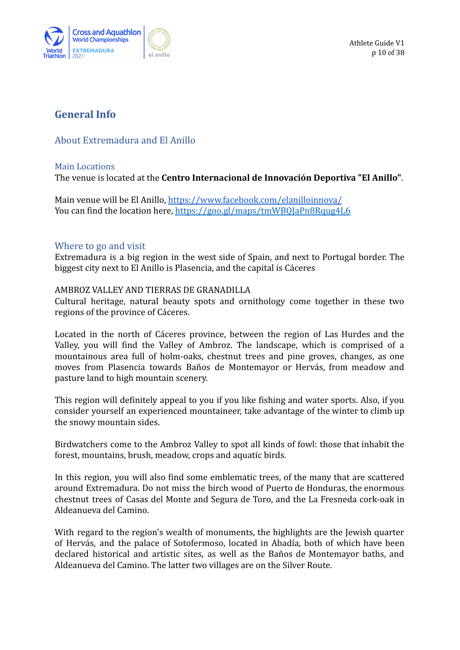

Athlete Guide V1 p 10 of 38

### <span id="page-9-0"></span>**General Info**

### <span id="page-9-1"></span>About Extremadura and El Anillo

#### <span id="page-9-2"></span>Main Locations

The venue is located at the **Centro Internacional de Innovación Deportiva "El Anillo"**.

Main venue will be El Anillo, <https://www.facebook.com/elanilloinnova/> You can find the location here, <https://goo.gl/maps/tmWBQJaPn8Rqug4L6>

#### <span id="page-9-3"></span>Where to go and visit

Extremadura is a big region in the west side of Spain, and next to Portugal border. The biggest city next to El Anillo is Plasencia, and the capital is Cáceres

#### AMBROZ VALLEY AND TIERRAS DE GRANADILLA

Cultural heritage, natural beauty spots and ornithology come together in these two regions of the province of Cáceres.

Located in the north of Cáceres province, between the region of Las Hurdes and the Valley, you will find the Valley of Ambroz. The landscape, which is comprised of a mountainous area full of holm-oaks, chestnut trees and pine groves, changes, as one moves from Plasencia towards Baños de Montemayor or Hervás, from meadow and pasture land to high mountain scenery.

This region will definitely appeal to you if you like fishing and water sports. Also, if you consider yourself an experienced mountaineer, take advantage of the winter to climb up the snowy mountain sides.

Birdwatchers come to the Ambroz Valley to spot all kinds of fowl: those that inhabit the forest, mountains, brush, meadow, crops and aquatic birds.

In this region, you will also find some emblematic trees, of the many that are scattered around Extremadura. Do not miss the birch wood of Puerto de Honduras, the enormous chestnut trees of Casas del Monte and Segura de Toro, and the La Fresneda cork-oak in Aldeanueva del Camino.

With regard to the region's wealth of monuments, the highlights are the Jewish quarter of Hervás, and the palace of Sotofermoso, located in Abadía, both of which have been declared historical and artistic sites, as well as the Baños de Montemayor baths, and Aldeanueva del Camino. The latter two villages are on the Silver Route.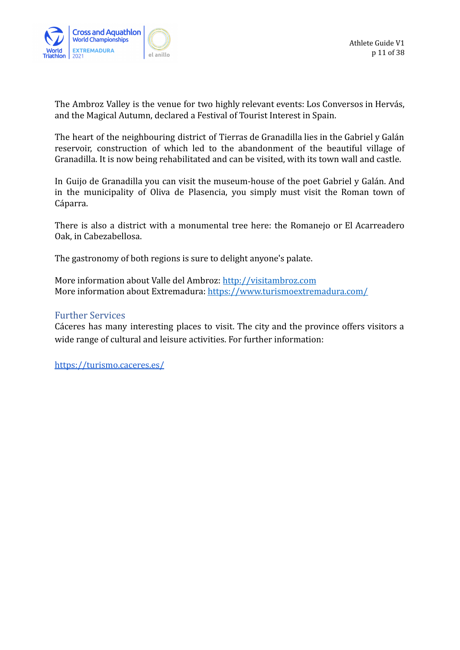

The Ambroz Valley is the venue for two highly relevant events: Los Conversos in Hervás, and the Magical Autumn, declared a Festival of Tourist Interest in Spain.

The heart of the neighbouring district of Tierras de Granadilla lies in the Gabriel y Galán reservoir, construction of which led to the abandonment of the beautiful village of Granadilla. It is now being rehabilitated and can be visited, with its town wall and castle.

In Guijo de Granadilla you can visit the museum-house of the poet Gabriel y Galán. And in the municipality of Oliva de Plasencia, you simply must visit the Roman town of Cáparra.

There is also a district with a monumental tree here: the Romanejo or El Acarreadero Oak, in Cabezabellosa.

The gastronomy of both regions is sure to delight anyone's palate.

More information about Valle del Ambroz: <http://visitambroz.com> More information about Extremadura: <https://www.turismoextremadura.com/>

### <span id="page-10-0"></span>Further Services

Cáceres has many interesting places to visit. The city and the province offers visitors a wide range of cultural and leisure activities. For further information:

<https://turismo.caceres.es/>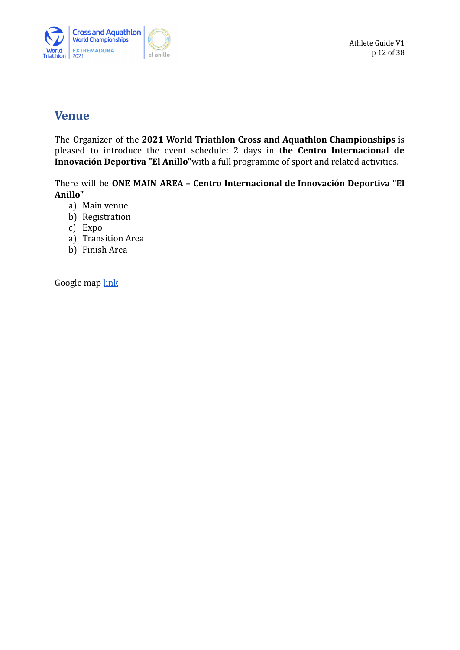

Athlete Guide V1 p 12 of 38

## <span id="page-11-0"></span>**Venue**

The Organizer of the **2021 World Triathlon Cross and Aquathlon Championships** is pleased to introduce the event schedule: 2 days in **the Centro Internacional de Innovación Deportiva "El Anillo"**with a full programme of sport and related activities.

There will be **ONE MAIN AREA – Centro Internacional de Innovación Deportiva "El Anillo"**

- a) Main venue
- b) Registration
- c) Expo
- a) Transition Area
- b) Finish Area

Google map [link](https://goo.gl/maps/Gy88xuHdp7iZzJLG9)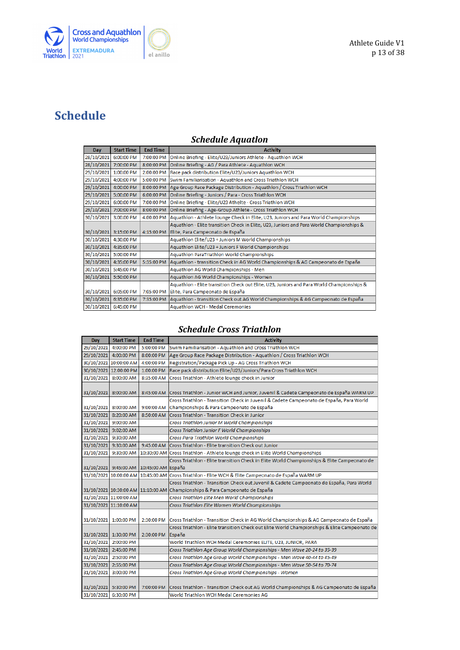

## <span id="page-12-0"></span>**Schedule**

### *Schedule Aquatlon*

| Day        | <b>Start Time</b> | <b>End Time</b> | <b>Activity</b>                                                                           |
|------------|-------------------|-----------------|-------------------------------------------------------------------------------------------|
| 28/10/2021 | 6:00:00 PM        | 7:00:00 PM      | Online Briefing - Elite/U23/Juniors Athlete - Aquathlon WCH                               |
| 28/10/2021 | 7:00:00 PM        | 8:00:00 PM      | Online Briefing - AG / Para Athlete - Aquathlon WCH                                       |
| 29/10/2021 | 1:00:00 PM        | 2:00:00 PM      | Race pack distribution Elite/U23/Juniors Aquathlon WCH                                    |
| 29/10/2021 | 4:00:00 PM        | 5:00:00 PM      | Swim Familiarisation - Aquathlon and Cross Triathlon WCH                                  |
| 29/10/2021 | 4:00:00 PM        | 8:00:00 PM      | Age Group Race Package Distribution - Aquathlon / Cross Triathlon WCH                     |
| 29/10/2021 | 5:00:00 PM        | 6:00:00 PM      | Online Briefing - Juniors / Para - Cross Triathlon WCH                                    |
| 29/10/2021 | 6:00:00 PM        | 7:00:00 PM      | Online Briefing - Elite/U23 Athelte - Cross Triathlon WCH                                 |
| 29/10/2021 | 7:00:00 PM        | 8:00:00 PM      | Online Briefing - Age-Group Athlete - Cross Triathlon WCH                                 |
| 30/10/2021 | 3:00:00 PM        | 4:00:00 PM      | Aquathlon - Athlete lounge Check in Elite, U23, Juniors and Para World Championships      |
|            |                   |                 | Aquathlon - Elite transition Check in Elite, U23, Juniors and Para World Championships &  |
| 30/10/2021 | 3:15:00 PM        | 4:15:00 PM      | Elite, Para Campeonato de España                                                          |
| 30/10/2021 | 4:30:00 PM        |                 | Aquathlon Elite/U23 + Juniors M World Championships                                       |
| 30/10/2021 | 4:35:00 PM        |                 | Aquathlon Elite/U23 + Juniors F World Championships                                       |
| 30/10/2021 | 5:00:00 PM        |                 | Aquathlon ParaTriathlon World Championships                                               |
| 30/10/2021 | 4:35:00 PM        | 5:35:00 PM      | Aquathlon - transition Check in AG World Championships & AG Campeonato de España          |
| 30/10/2021 | 5:45:00 PM        |                 | Aquathlon AG World Championships - Men                                                    |
| 30/10/2021 | 5:50:00 PM        |                 | Aquathlon AG World Championships - Women                                                  |
|            |                   |                 | Aquathlon - Elite transition Check out Elite, U23, Juniors and Para World Championships & |
| 30/10/2021 | 6:05:00 PM        | 7:05:00 PM      | Elite, Para Campeonato de España                                                          |
| 30/10/2021 | 6:35:00 PM        | 7:35:00 PM      | Aquathlon - transition Check out AG World Championships & AG Campeonato de España         |
| 30/10/2021 | 6:45:00 PM        |                 | <b>Aquathlon WCH - Medal Ceremonies</b>                                                   |

#### *Schedule Cross Triathlon*

| Day        | <b>Start Time</b>      | <b>End Time</b>    | <b>Activity</b>                                                                              |
|------------|------------------------|--------------------|----------------------------------------------------------------------------------------------|
| 29/10/2021 | 4:00:00 PM             | 5:00:00 PM         | Swim Familiarisation - Aquathlon and Cross Triathlon WCH                                     |
| 29/10/2021 | 4:00:00 PM             | 8:00:00 PM         | Age Group Race Package Distribution - Aquathlon / Cross Triathlon WCH                        |
|            | 30/10/2021 10:00:00 AM | 4:00:00 PM         | Registration/Package Pick Up - AG Cross Triathlon WCH                                        |
|            | 30/10/2021 12:00:00 PM | 1:00:00 PM         | Race pack distribution Elite/U23/Juniors/Para Cross Triathlon WCH                            |
| 31/10/2021 | 8:00:00 AM             | 8:35:00 AM         | Cross Triathlon - Athlete lounge check in Junior                                             |
|            |                        |                    |                                                                                              |
| 31/10/2021 | 8:00:00 AM             | 8:45:00 AM         | Cross Triathlon - Junior WCH and Junior, Juvenil & Cadete Campeonato de España WARM UP       |
|            |                        |                    | Cross Triathlon - Transition Check in Juvenil & Cadete Campeonato de España, Para World      |
| 31/10/2021 | 8:00:00 AM             | 9:00:00 AM         | Championships & Para Campeonato de España                                                    |
| 31/10/2021 | 8:20:00 AM             | 8:50:00 AM         | Cross Triathlon - Transition Check in Junior                                                 |
| 31/10/2021 | 9:00:00 AM             |                    | Cross Triathlon Junior M World Championships                                                 |
| 31/10/2021 | 9:02:00 AM             |                    | Cross Triathlon Junior F World Championships                                                 |
|            | 31/10/2021 9:30:00 AM  |                    | Cross Para Triathlon World Championships                                                     |
| 31/10/2021 | 9:30:00 AM             |                    | 9:45:00 AM Cross Triathlon - Elite transition Check out Junior                               |
| 31/10/2021 | 9:30:00 AM             |                    | 10:30:00 AM Cross Triathlon - Athlete lounge check in Elite World Championships              |
|            |                        |                    | Cross Triathlon - Elite transition Check in Elite World Championships & Elite Campeonato de  |
| 31/10/2021 | 9:45:00 AM             | 10:45:00 AM España |                                                                                              |
| 31/10/2021 | 10:00:00 AM            |                    | 10:45:00 AM Cross Triathlon - Elite WCH & Elite Campeonato de España WARM UP                 |
|            |                        |                    | Cross Triathlon - Transition Check out Juvenil & Cadete Campeonato de España, Para World     |
|            | 31/10/2021 10:30:00 AM |                    | 11:10:00 AM Championships & Para Campeonato de España                                        |
|            | 31/10/2021 11:00:00 AM |                    | Cross Triathlon Elite Men World Championships                                                |
|            | 31/10/2021 11:10:00 AM |                    | Cross Triathlon Elite Women World Championships                                              |
|            |                        |                    |                                                                                              |
| 31/10/2021 | 1:00:00 PM             | 2:30:00 PM         | Cross Triathlon - Transition Check in AG World Championships & AG Campeonato de España       |
|            |                        |                    | Cross Triathlon - Elite transition Check out Elite World Championships & Elite Campeonato de |
| 31/10/2021 | 1:30:00 PM             | 2:30:00 PM         | España                                                                                       |
| 31/10/2021 | 2:00:00 PM             |                    | World Triathlon WCH Medal Ceremonies ELITE, U23, JUNIOR, PARA                                |
| 31/10/2021 | 2:45:00 PM             |                    | Cross Triathlon Age Group World Championships - Men Wave 20-24 to 35-39                      |
| 31/10/2021 | 2:50:00 PM             |                    | Cross Triathlon Age Group World Championships - Men Wave 40-44 to 45-49                      |
| 31/10/2021 | 2:55:00 PM             |                    | Cross Triathlon Age Group World Championships - Men Wave 50-54 to 70-74                      |
| 31/10/2021 | 3:00:00 PM             |                    | Cross Triathlon Age Group World Championships - Women                                        |
|            |                        |                    |                                                                                              |
| 31/10/2021 | 5:30:00 PM             | 7:00:00 PM         | Cross Triathlon - Transition Check out AG World Championships & AG Campeonato de España      |
| 31/10/2021 | 6:30:00 PM             |                    | World Triathlon WCH Medal Ceremonies AG                                                      |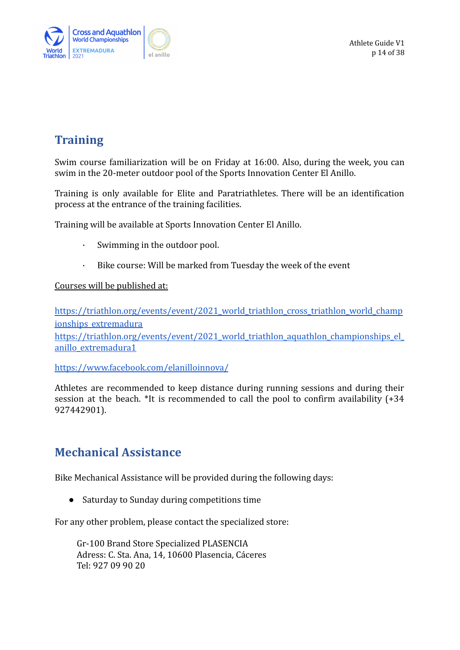

Athlete Guide V1 p 14 of 38

## <span id="page-13-0"></span>**Training**

Swim course familiarization will be on Friday at 16:00. Also, during the week, you can swim in the 20-meter outdoor pool of the Sports Innovation Center El Anillo.

Training is only available for Elite and Paratriathletes. There will be an identification process at the entrance of the training facilities.

Training will be available at Sports Innovation Center El Anillo.

- · Swimming in the outdoor pool.
- · Bike course: Will be marked from Tuesday the week of the event

Courses will be published at:

[https://triathlon.org/events/event/2021\\_world\\_triathlon\\_cross\\_triathlon\\_world\\_champ](https://triathlon.org/events/event/2021_world_triathlon_cross_triathlon_world_championships_extremadura) [ionships\\_extremadura](https://triathlon.org/events/event/2021_world_triathlon_cross_triathlon_world_championships_extremadura)

[https://triathlon.org/events/event/2021\\_world\\_triathlon\\_aquathlon\\_championships\\_el\\_](https://triathlon.org/events/event/2021_world_triathlon_aquathlon_championships_el_anillo_extremadura1) [anillo\\_extremadura1](https://triathlon.org/events/event/2021_world_triathlon_aquathlon_championships_el_anillo_extremadura1)

<https://www.facebook.com/elanilloinnova/>

Athletes are recommended to keep distance during running sessions and during their session at the beach. \*It is recommended to call the pool to confirm availability (+34 927442901).

## <span id="page-13-1"></span>**Mechanical Assistance**

Bike Mechanical Assistance will be provided during the following days:

● Saturday to Sunday during competitions time

For any other problem, please contact the specialized store:

Gr-100 Brand Store Specialized PLASENCIA Adress: C. Sta. Ana, 14, 10600 Plasencia, Cáceres Tel: [927 09 90 20](https://www.google.com/search?q=gr+100+tienda+ciclismo+plasencia&biw=1366&bih=657&sxsrf=AOaemvKdPWrUQRTHqw0d6LP8uS0ILDiupQ%3A1634228866255&ei=glpoYcr_DpGvUoesqdAO&ved=0ahUKEwjKyLf4qMrzAhWRlxQKHQdWCuoQ4dUDCA4&uact=5&oq=gr+100+tienda+ciclismo+plasencia&gs_lcp=Cgdnd3Mtd2l6EAMyCAghEBYQHRAeOgcIIxCwAxAnOgcIABBHELADOgQIIxAnOg4ILhCABBCxAxDHARDRAzoICAAQgAQQsQM6CwgAEIAEELEDEIMBOggILhCxAxCDAToECAAQQzoKCC4QxwEQrwEQQzoNCC4QxwEQrwEQQxCTAjoFCAAQgAQ6CggAEIAEELEDEAo6CAgAEIAEEMkDOgoIABCABBCHAhAUOgsILhCABBDHARCvAToCCCY6BggAEBYQHjoICAAQFhAKEB46BwghEAoQoAE6BQghEKABOgQIIRAVOgUIIRCSA0oECEEYAFCVSFihZ2CLaGgBcAJ4AIABtwGIAdsdkgEEMi4yOZgBAKABAcgBCcABAQ&sclient=gws-wiz#)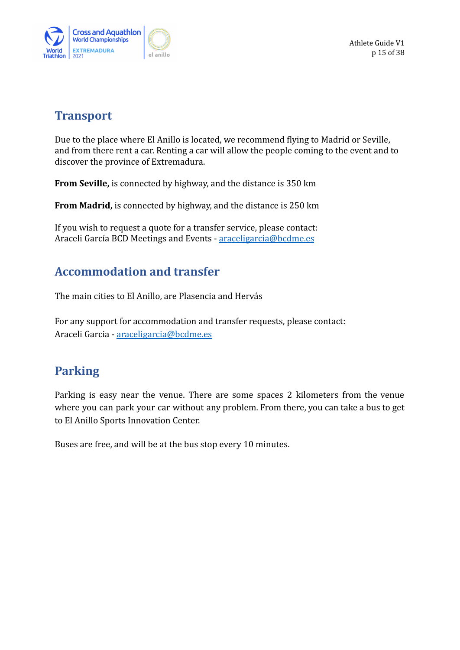

Athlete Guide V1 p 15 of 38

## <span id="page-14-0"></span>**Transport**

Due to the place where El Anillo is located, we recommend flying to Madrid or Seville, and from there rent a car. Renting a car will allow the people coming to the event and to discover the province of Extremadura.

**From Seville,** is connected by highway, and the distance is 350 km

**From Madrid,** is connected by highway, and the distance is 250 km

If you wish to request a quote for a transfer service, please contact: Araceli García BCD Meetings and Events - araceligarcia@bcdme.es

## <span id="page-14-1"></span>**Accommodation and transfer**

The main cities to El Anillo, are Plasencia and Hervás

For any support for accommodation and transfer requests, please contact: Araceli Garcia - [araceligarcia@bcdme.es](mailto:araceligarcia@bcdme.es)

## <span id="page-14-2"></span>**Parking**

Parking is easy near the venue. There are some spaces 2 kilometers from the venue where you can park your car without any problem. From there, you can take a bus to get to El Anillo Sports Innovation Center.

Buses are free, and will be at the bus stop every 10 minutes.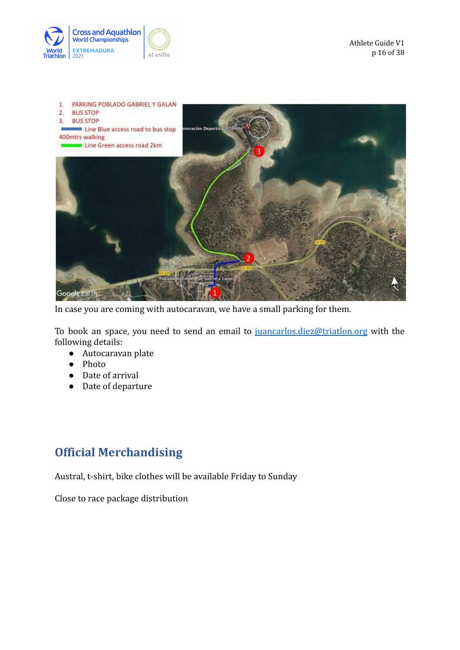



In case you are coming with autocaravan, we have a small parking for them.

To book an space, you need to send an email to [juancarlos.diez@triatlon.org](mailto:juancarlos.diez@triatlon.org) with the following details:

- Autocaravan plate
- Photo
- Date of arrival
- Date of departure

## <span id="page-15-0"></span>**Official Merchandising**

Austral, t-shirt, bike clothes will be available Friday to Sunday

Close to race package distribution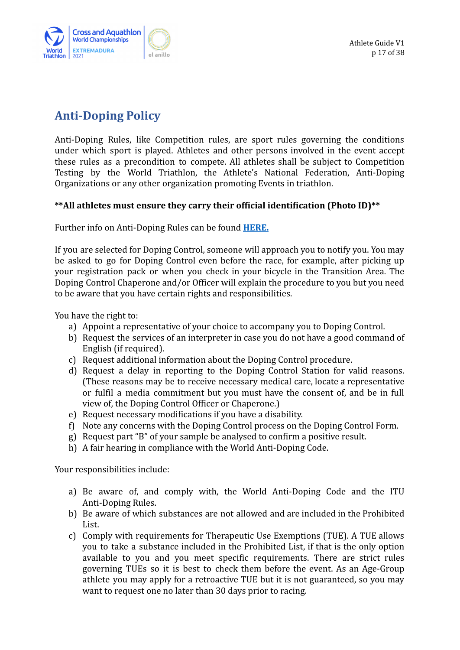

## <span id="page-16-0"></span>**Anti-Doping Policy**

Anti-Doping Rules, like Competition rules, are sport rules governing the conditions under which sport is played. Athletes and other persons involved in the event accept these rules as a precondition to compete. All athletes shall be subject to Competition Testing by the World Triathlon, the Athlete's National Federation, Anti-Doping Organizations or any other organization promoting Events in triathlon.

### **\*\*All athletes must ensure they carry their official identification (Photo ID)\*\***

Further info on Anti-Doping Rules can be found **[HERE.](https://triathlon.org/anti-doping)**

If you are selected for Doping Control, someone will approach you to notify you. You may be asked to go for Doping Control even before the race, for example, after picking up your registration pack or when you check in your bicycle in the Transition Area. The Doping Control Chaperone and/or Officer will explain the procedure to you but you need to be aware that you have certain rights and responsibilities.

You have the right to:

- a) Appoint a representative of your choice to accompany you to Doping Control.
- b) Request the services of an interpreter in case you do not have a good command of English (if required).
- c) Request additional information about the Doping Control procedure.
- d) Request a delay in reporting to the Doping Control Station for valid reasons. (These reasons may be to receive necessary medical care, locate a representative or fulfil a media commitment but you must have the consent of, and be in full view of, the Doping Control Officer or Chaperone.)
- e) Request necessary modifications if you have a disability.
- f) Note any concerns with the Doping Control process on the Doping Control Form.
- g) Request part "B" of your sample be analysed to confirm a positive result.
- h) A fair hearing in compliance with the World Anti-Doping Code.

Your responsibilities include:

- a) Be aware of, and comply with, the World Anti-Doping Code and the ITU Anti-Doping Rules.
- b) Be aware of which substances are not allowed and are included in the Prohibited List.
- c) Comply with requirements for Therapeutic Use Exemptions (TUE). A TUE allows you to take a substance included in the Prohibited List, if that is the only option available to you and you meet specific requirements. There are strict rules governing TUEs so it is best to check them before the event. As an Age-Group athlete you may apply for a retroactive TUE but it is not guaranteed, so you may want to request one no later than 30 days prior to racing.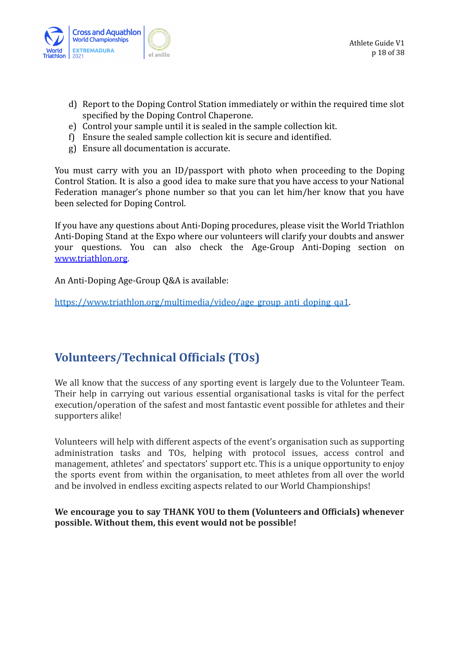

- d) Report to the Doping Control Station immediately or within the required time slot specified by the Doping Control Chaperone.
- e) Control your sample until it is sealed in the sample collection kit.
- f) Ensure the sealed sample collection kit is secure and identified.
- g) Ensure all documentation is accurate.

You must carry with you an ID/passport with photo when proceeding to the Doping Control Station. It is also a good idea to make sure that you have access to your National Federation manager's phone number so that you can let him/her know that you have been selected for Doping Control.

If you have any questions about Anti-Doping procedures, please visit the World Triathlon Anti-Doping Stand at the Expo where our volunteers will clarify your doubts and answer your questions. You can also check the Age-Group Anti-Doping section on [www.triathlon.org](http://www.triathlon.org).

An Anti-Doping Age-Group Q&A is available:

[https://www.triathlon.org/multimedia/video/age\\_group\\_anti\\_doping\\_qa1](https://www.triathlon.org/multimedia/video/age_group_anti_doping_qa1).

## <span id="page-17-0"></span>**Volunteers/Technical Officials (TOs)**

We all know that the success of any sporting event is largely due to the Volunteer Team. Their help in carrying out various essential organisational tasks is vital for the perfect execution/operation of the safest and most fantastic event possible for athletes and their supporters alike!

Volunteers will help with different aspects of the event's organisation such as supporting administration tasks and TOs, helping with protocol issues, access control and management, athletes' and spectators' support etc. This is a unique opportunity to enjoy the sports event from within the organisation, to meet athletes from all over the world and be involved in endless exciting aspects related to our World Championships!

### **We encourage you to say THANK YOU to them (Volunteers and Officials) whenever possible. Without them, this event would not be possible!**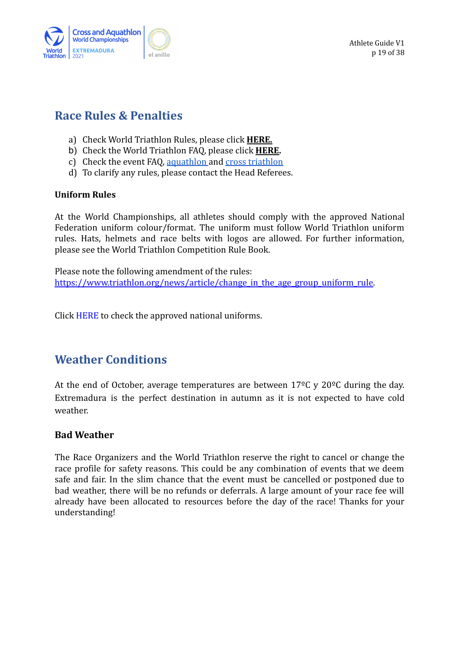

## <span id="page-18-0"></span>**Race Rules & Penalties**

- a) Check World Triathlon Rules, please click **[HERE.](https://www.triathlon.org/about/downloads/category/competition_rules)**
- b) Check the World Triathlon FAQ, please click **[HERE.](https://www.triathlon.org/agegroup/about_ag/faq)**
- c) Check the event FAQ, [aquathlon](https://www.triathlon.org/uploads/events/2021.El_Anillo_Aquathlon_WCH_FAQs_ENG_20211012.pdf) and [cross triathlon](https://www.triathlon.org/uploads/events/2021.El_Anillo_Tri_Cross_WCH_FAQs_ENG_v20211012.docx.pdf)
- d) To clarify any rules, please contact the Head Referees.

### **Uniform Rules**

At the World Championships, all athletes should comply with the approved National Federation uniform colour/format. The uniform must follow World Triathlon uniform rules. Hats, helmets and race belts with logos are allowed. For further information, please see the World Triathlon Competition Rule Book.

Please note the following amendment of the rules: https://www.triathlon.org/news/article/change in the age group uniform rule.

Click [HERE](https://www.triathlon.org/about/downloads/category/uniforms_catalogues) to check the approved national uniforms.

## <span id="page-18-1"></span>**Weather Conditions**

At the end of October, average temperatures are between  $17^{\circ}$ C y  $20^{\circ}$ C during the day. Extremadura is the perfect destination in autumn as it is not expected to have cold weather.

### **Bad Weather**

The Race Organizers and the World Triathlon reserve the right to cancel or change the race profile for safety reasons. This could be any combination of events that we deem safe and fair. In the slim chance that the event must be cancelled or postponed due to bad weather, there will be no refunds or deferrals. A large amount of your race fee will already have been allocated to resources before the day of the race! Thanks for your understanding!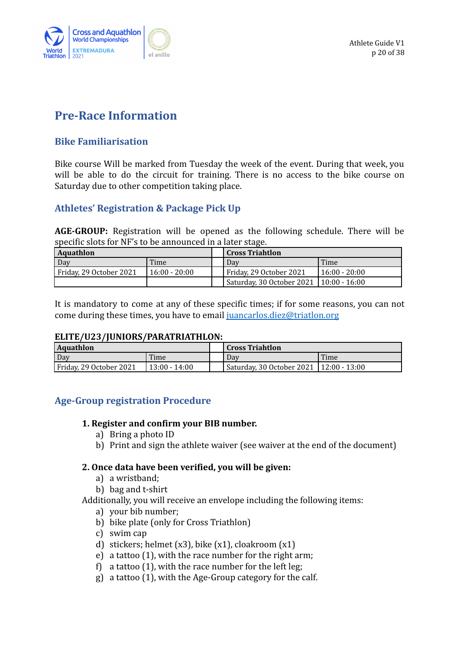

## <span id="page-19-0"></span>**Pre-Race Information**

### <span id="page-19-1"></span>**Bike Familiarisation**

Bike course Will be marked from Tuesday the week of the event. During that week, you will be able to do the circuit for training. There is no access to the bike course on Saturday due to other competition taking place.

### **Athletes' Registration & Package Pick Up**

**AGE-GROUP:** Registration will be opened as the following schedule. There will be specific slots for NF's to be announced in a later stage.

| Aquathlon               |                 |  | Cross Triahtlon                           |               |  |
|-------------------------|-----------------|--|-------------------------------------------|---------------|--|
| Dav                     | Time            |  | Dav                                       | Time          |  |
| Friday, 29 October 2021 | $16:00 - 20:00$ |  | Friday, 29 October 2021                   | 16:00 - 20:00 |  |
|                         |                 |  | Saturday, 30 October 2021   10:00 - 16:00 |               |  |

It is mandatory to come at any of these specific times; if for some reasons, you can not come during these times, you have to email [juancarlos.diez@triatlon.org](mailto:juancarlos.diez@triatlon.org)

#### **ELITE/U23/JUNIORS/PARATRIATHLON:**

| <b>Aquathlon</b>        |                 | <b>Cross Triahtlon</b>                    |  |
|-------------------------|-----------------|-------------------------------------------|--|
| Day<br>Time             |                 | Time<br>Dav                               |  |
| Friday, 29 October 2021 | $13:00 - 14:00$ | Saturday, 30 October 2021   12:00 - 13:00 |  |

### **Age-Group registration Procedure**

### **1. Register and confirm your BIB number.**

- a) Bring a photo ID
- b) Print and sign the athlete waiver (see waiver at the end of the document)

### **2. Once data have been verified, you will be given:**

- a) a wristband;
- b) bag and t-shirt
- Additionally, you will receive an envelope including the following items:
	- a) your bib number;
	- b) bike plate (only for Cross Triathlon)
	- c) swim cap
	- d) stickers; helmet  $(x3)$ , bike  $(x1)$ , cloakroom  $(x1)$
	- e) a tattoo (1), with the race number for the right arm;
	- f) a tattoo (1), with the race number for the left leg;
	- g) a tattoo (1), with the Age-Group category for the calf.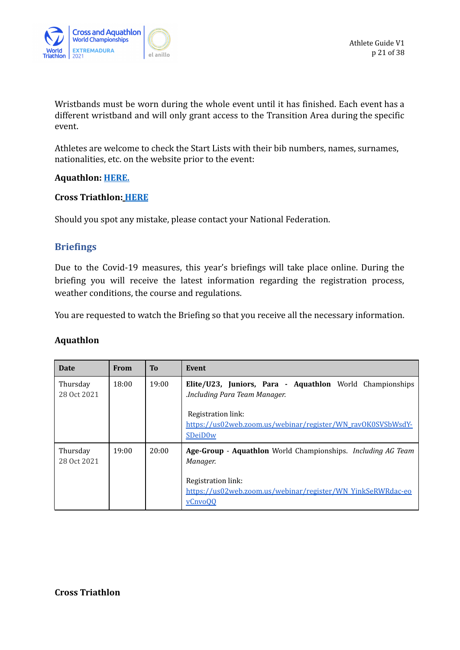

Wristbands must be worn during the whole event until it has finished. Each event has a different wristband and will only grant access to the Transition Area during the specific event.

Athletes are welcome to check the Start Lists with their bib numbers, names, surnames, nationalities, etc. on the website prior to the event:

### **Aquathlon: [HERE](https://triathlon.org/events/event/2021_world_triathlon_aquathlon_championships_el_anillo_extremadura1).**

#### **Cross Triathlon: [HERE](https://triathlon.org/events/event/2021_world_triathlon_cross_triathlon_world_championships_extremadura)**

Should you spot any mistake, please contact your National Federation.

### <span id="page-20-0"></span>**Briefings**

Due to the Covid-19 measures, this year's briefings will take place online. During the briefing you will receive the latest information regarding the registration process, weather conditions, the course and regulations.

You are requested to watch the Briefing so that you receive all the necessary information.

#### **Aquathlon**

| Date                    | <b>From</b> | To    | Event                                                                                                                                                                                              |
|-------------------------|-------------|-------|----------------------------------------------------------------------------------------------------------------------------------------------------------------------------------------------------|
| Thursday<br>28 Oct 2021 | 18:00       | 19:00 | Elite/U23, Juniors, Para - Aquathlon World Championships<br>Including Para Team Manager.<br>Registration link:<br>https://us02web.zoom.us/webinar/register/WN_rav0K0SVSbWsdY-<br>SDeiD0w           |
| Thursday<br>28 Oct 2021 | 19:00       | 20:00 | <b>Age-Group - Aquathlon</b> World Championships. <i>Including AG Team</i><br>Manager.<br>Registration link:<br>https://us02web.zoom.us/webinar/register/WN_YinkSeRWRdac-eo<br>vCnvo <sub>OO</sub> |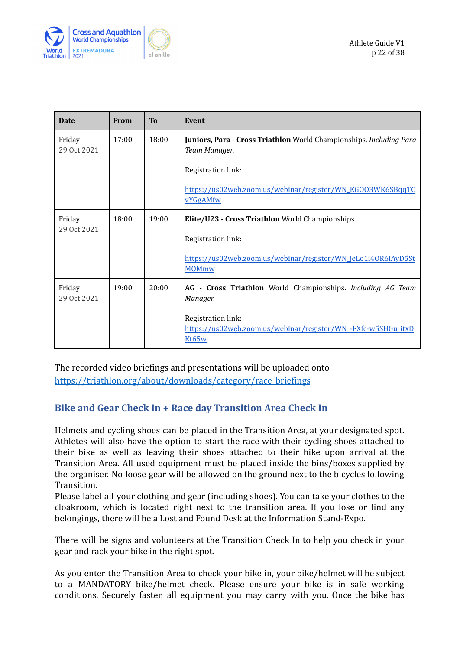

| <b>Date</b>           | <b>From</b> | To    | Event                                                                                        |
|-----------------------|-------------|-------|----------------------------------------------------------------------------------------------|
| Friday<br>29 Oct 2021 | 17:00       | 18:00 | Juniors, Para - Cross Triathlon World Championships. Including Para<br>Team Manager.         |
|                       |             |       | Registration link:                                                                           |
|                       |             |       | https://us02web.zoom.us/webinar/register/WN_KGO03WK6SBqqTC<br><b>vYGgAMfw</b>                |
| Friday                | 18:00       | 19:00 | Elite/U23 - Cross Triathlon World Championships.                                             |
| 29 Oct 2021           |             |       | Registration link:                                                                           |
|                       |             |       | https://us02web.zoom.us/webinar/register/WN_jeLo1i40R6iAyD5St<br><b>MOMmw</b>                |
| Friday<br>29 Oct 2021 | 19:00       | 20:00 | Cross Triathlon World Championships. Including AG Team<br>$AG -$<br>Manager.                 |
|                       |             |       | Registration link:<br>https://us02web.zoom.us/webinar/register/WN_-FXfc-w5SHGu_itxD<br>Kt65w |

The recorded video briefings and presentations will be uploaded onto [https://triathlon.org/about/downloads/category/race\\_briefings](https://triathlon.org/about/downloads/category/race_briefings)

### <span id="page-21-0"></span>**Bike and Gear Check In + Race day Transition Area Check In**

Helmets and cycling shoes can be placed in the Transition Area, at your designated spot. Athletes will also have the option to start the race with their cycling shoes attached to their bike as well as leaving their shoes attached to their bike upon arrival at the Transition Area. All used equipment must be placed inside the bins/boxes supplied by the organiser. No loose gear will be allowed on the ground next to the bicycles following Transition.

Please label all your clothing and gear (including shoes). You can take your clothes to the cloakroom, which is located right next to the transition area. If you lose or find any belongings, there will be a Lost and Found Desk at the Information Stand-Expo.

There will be signs and volunteers at the Transition Check In to help you check in your gear and rack your bike in the right spot.

As you enter the Transition Area to check your bike in, your bike/helmet will be subject to a MANDATORY bike/helmet check. Please ensure your bike is in safe working conditions. Securely fasten all equipment you may carry with you. Once the bike has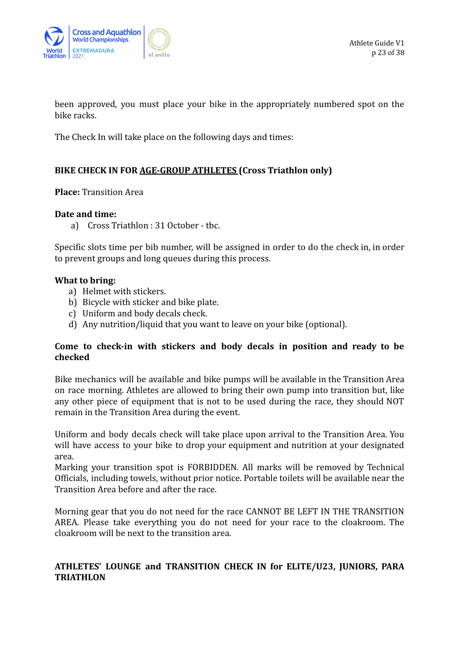

been approved, you must place your bike in the appropriately numbered spot on the bike racks.

The Check In will take place on the following days and times:

### **BIKE CHECK IN FOR AGE-GROUP ATHLETES (Cross Triathlon only)**

**Place:** Transition Area

#### **Date and time:**

a) Cross Triathlon : 31 October - tbc.

Specific slots time per bib number, will be assigned in order to do the check in, in order to prevent groups and long queues during this process.

#### **What to bring:**

- a) Helmet with stickers.
- b) Bicycle with sticker and bike plate.
- c) Uniform and body decals check.
- d) Any nutrition/liquid that you want to leave on your bike (optional).

### **Come to check-in with stickers and body decals in position and ready to be checked**

Bike mechanics will be available and bike pumps will be available in the Transition Area on race morning. Athletes are allowed to bring their own pump into transition but, like any other piece of equipment that is not to be used during the race, they should NOT remain in the Transition Area during the event.

Uniform and body decals check will take place upon arrival to the Transition Area. You will have access to your bike to drop your equipment and nutrition at your designated area.

Marking your transition spot is FORBIDDEN. All marks will be removed by Technical Officials, including towels, without prior notice. Portable toilets will be available near the Transition Area before and after the race.

Morning gear that you do not need for the race CANNOT BE LEFT IN THE TRANSITION AREA. Please take everything you do not need for your race to the cloakroom. The cloakroom will be next to the transition area.

### **ATHLETES' LOUNGE and TRANSITION CHECK IN for ELITE/U23, JUNIORS, PARA TRIATHLON**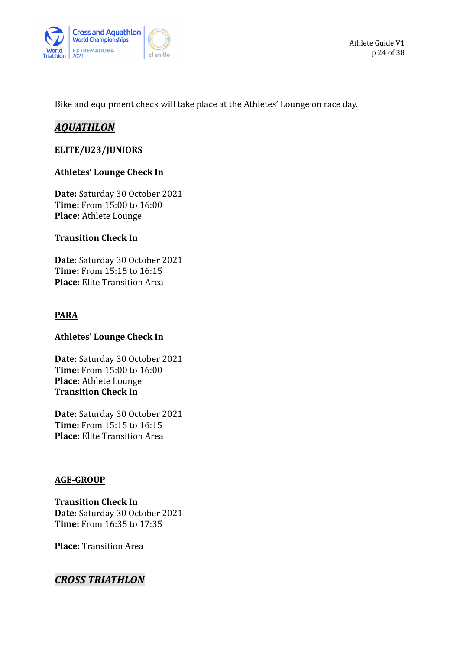

Bike and equipment check will take place at the Athletes' Lounge on race day.

### *AQUATHLON*

#### **ELITE/U23/JUNIORS**

#### **Athletes' Lounge Check In**

**Date:** Saturday 30 October 2021 **Time:** From 15:00 to 16:00 **Place:** Athlete Lounge

### **Transition Check In**

**Date:** Saturday 30 October 2021 **Time:** From 15:15 to 16:15 **Place:** Elite Transition Area

#### **PARA**

#### **Athletes' Lounge Check In**

**Date:** Saturday 30 October 2021 **Time:** From 15:00 to 16:00 **Place:** Athlete Lounge **Transition Check In**

**Date:** Saturday 30 October 2021 **Time:** From 15:15 to 16:15 **Place:** Elite Transition Area

### **AGE-GROUP**

**Transition Check In Date:** Saturday 30 October 2021 **Time:** From 16:35 to 17:35

**Place:** Transition Area

### *CROSS TRIATHLON*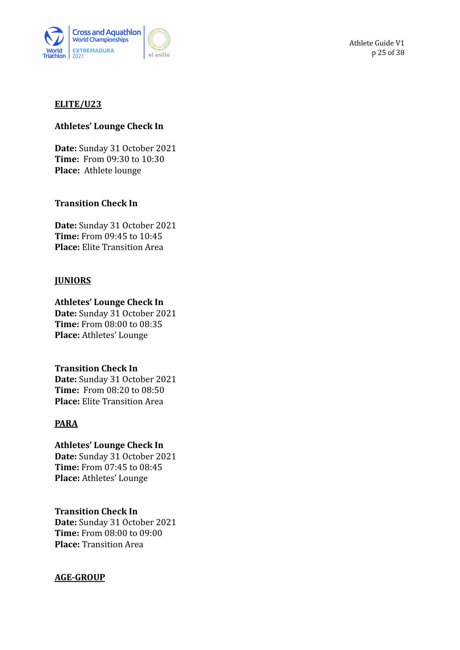

Athlete Guide V1 p 25 of 38

#### **ELITE/U23**

#### **Athletes' Lounge Check In**

**Date:** Sunday 31 October 2021 **Time:** From 09:30 to 10:30 **Place:** Athlete lounge

#### **Transition Check In**

**Date:** Sunday 31 October 2021 **Time:** From 09:45 to 10:45 **Place:** Elite Transition Area

#### **JUNIORS**

#### **Athletes' Lounge Check In**

**Date:** Sunday 31 October 2021 **Time:** From 08:00 to 08:35 **Place:** Athletes' Lounge

#### **Transition Check In**

**Date:** Sunday 31 October 2021 **Time:** From 08:20 to 08:50 **Place:** Elite Transition Area

#### **PARA**

**Athletes' Lounge Check In Date:** Sunday 31 October 2021 **Time:** From 07:45 to 08:45 **Place:** Athletes' Lounge

#### **Transition Check In**

**Date:** Sunday 31 October 2021 **Time:** From 08:00 to 09:00 **Place:** Transition Area

### **AGE-GROUP**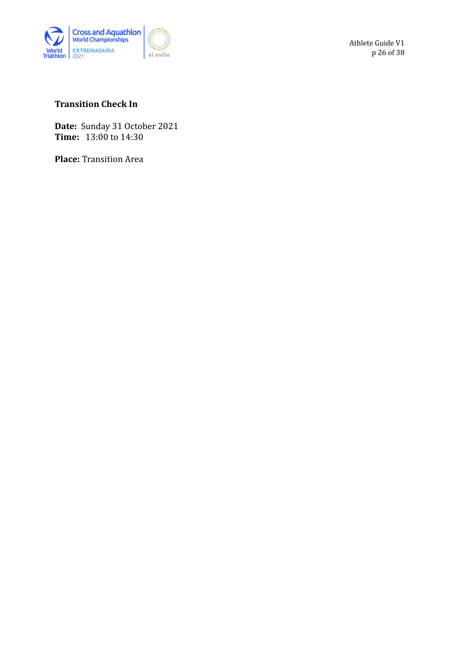

Athlete Guide V1 p 26 of 38

### **Transition Check In**

**Date:** Sunday 31 October 2021 **Time:** 13:00 to 14:30

**Place:** Transition Area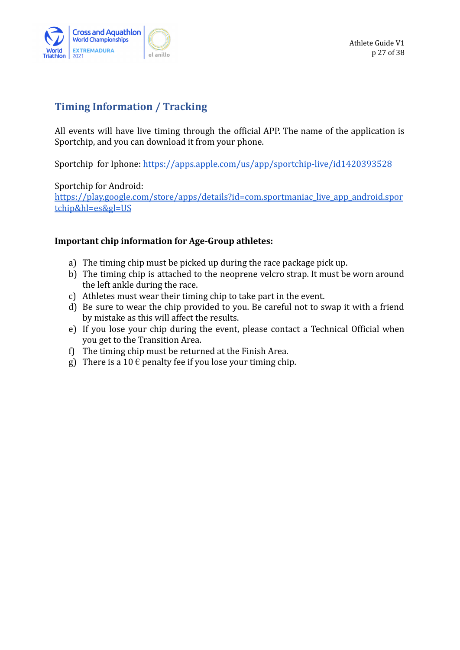

### <span id="page-26-0"></span>**Timing Information / Tracking**

All events will have live timing through the official APP. The name of the application is Sportchip, and you can download it from your phone.

Sportchip for Iphone: <https://apps.apple.com/us/app/sportchip-live/id1420393528>

Sportchip for Android:

[https://play.google.com/store/apps/details?id=com.sportmaniac\\_live\\_app\\_android.spor](https://play.google.com/store/apps/details?id=com.sportmaniac_live_app_android.sportchip&hl=es&gl=US) [tchip&hl=es&gl=US](https://play.google.com/store/apps/details?id=com.sportmaniac_live_app_android.sportchip&hl=es&gl=US)

### **Important chip information for Age-Group athletes:**

- a) The timing chip must be picked up during the race package pick up.
- b) The timing chip is attached to the neoprene velcro strap. It must be worn around the left ankle during the race.
- c) Athletes must wear their timing chip to take part in the event.
- d) Be sure to wear the chip provided to you. Be careful not to swap it with a friend by mistake as this will affect the results.
- e) If you lose your chip during the event, please contact a Technical Official when you get to the Transition Area.
- f) The timing chip must be returned at the Finish Area.
- g) There is a 10  $\epsilon$  penalty fee if you lose your timing chip.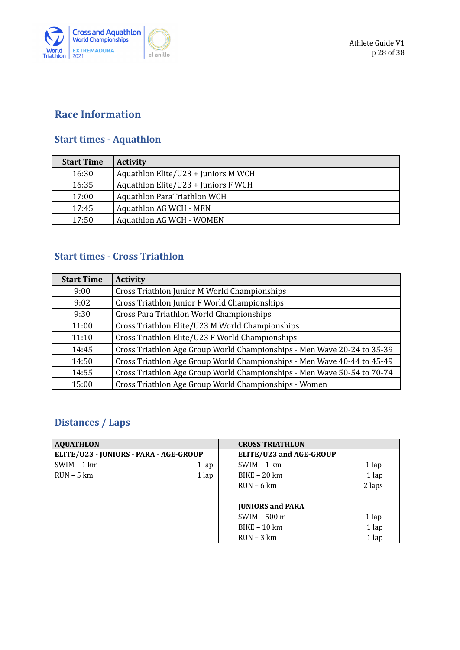

### <span id="page-27-0"></span>**Race Information**

### <span id="page-27-1"></span>**Start times - Aquathlon**

| <b>Start Time</b> | <b>Activity</b>                     |
|-------------------|-------------------------------------|
| 16:30             | Aquathlon Elite/U23 + Juniors M WCH |
| 16:35             | Aquathlon Elite/U23 + Juniors F WCH |
| 17:00             | Aquathlon ParaTriathlon WCH         |
| 17:45             | <b>Aquathlon AG WCH - MEN</b>       |
| 17:50             | <b>Aquathlon AG WCH - WOMEN</b>     |

### **Start times - Cross Triathlon**

| <b>Start Time</b> | <b>Activity</b>                                                         |
|-------------------|-------------------------------------------------------------------------|
| 9:00              | Cross Triathlon Junior M World Championships                            |
| 9:02              | Cross Triathlon Junior F World Championships                            |
| 9:30              | Cross Para Triathlon World Championships                                |
| 11:00             | Cross Triathlon Elite/U23 M World Championships                         |
| 11:10             | Cross Triathlon Elite/U23 F World Championships                         |
| 14:45             | Cross Triathlon Age Group World Championships - Men Wave 20-24 to 35-39 |
| 14:50             | Cross Triathlon Age Group World Championships - Men Wave 40-44 to 45-49 |
| 14:55             | Cross Triathlon Age Group World Championships - Men Wave 50-54 to 70-74 |
| 15:00             | Cross Triathlon Age Group World Championships - Women                   |

## <span id="page-27-2"></span>**Distances / Laps**

| <b>AQUATHLON</b>                       |         |  | <b>CROSS TRIATHLON</b>  |         |
|----------------------------------------|---------|--|-------------------------|---------|
| ELITE/U23 - JUNIORS - PARA - AGE-GROUP |         |  | ELITE/U23 and AGE-GROUP |         |
| $SWIM - 1 km$                          | 1 lap   |  | $SWIM - 1 km$           | 1 lap   |
| $RUN - 5 km$                           | $1$ lap |  | $BIKE - 20 km$          | $1$ lap |
|                                        |         |  | $RUN - 6 km$            | 2 laps  |
|                                        |         |  |                         |         |
|                                        |         |  | <b>JUNIORS and PARA</b> |         |
|                                        |         |  | $SWIM - 500 m$          | 1 lap   |
|                                        |         |  | $BIKE - 10 km$          | $1$ lap |
|                                        |         |  | $RUN - 3 km$            | $1$ lap |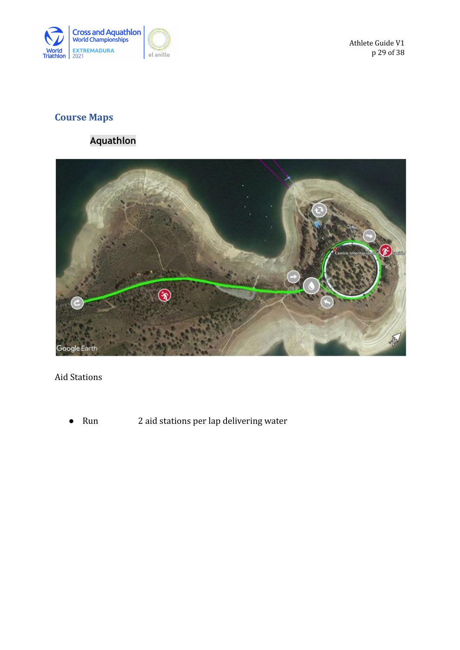

Athlete Guide V1 p 29 of 38

## <span id="page-28-0"></span>**Course Maps**

### **Aquathlon**

<span id="page-28-1"></span>

### Aid Stations

● Run 2 aid stations per lap delivering water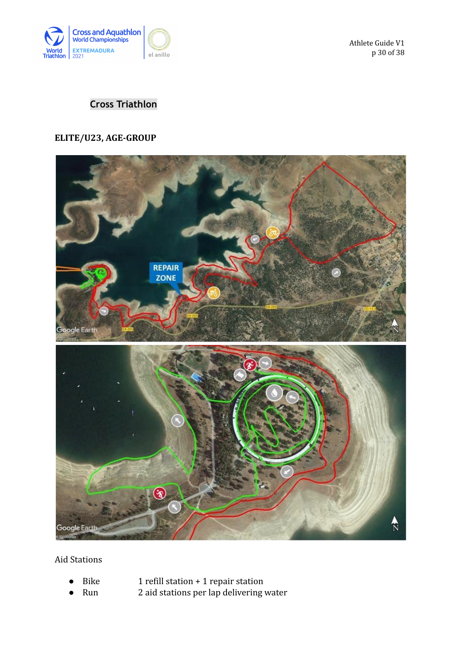

Athlete Guide V1 p 30 of 38

### <span id="page-29-0"></span>**Cross Triathlon**

### **ELITE/U23, AGE-GROUP**



Aid Stations

- 
- Bike  $1$  refill station + 1 repair station
- Run 2 aid stations per lap delivering water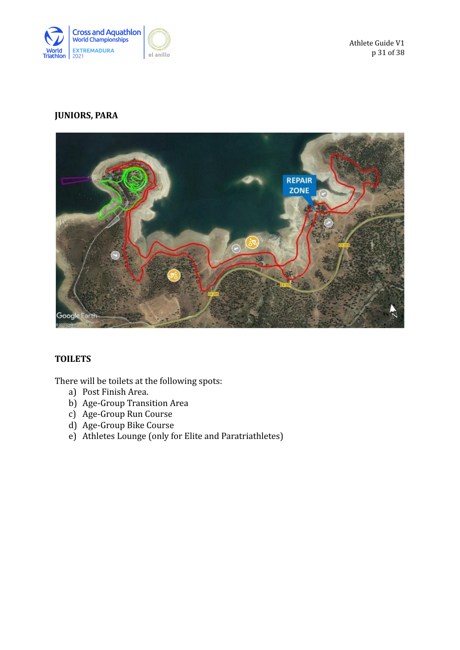

### **JUNIORS, PARA**



#### **TOILETS**

There will be toilets at the following spots:

- a) Post Finish Area.
- b) Age-Group Transition Area
- c) Age-Group Run Course
- d) Age-Group Bike Course
- e) Athletes Lounge (only for Elite and Paratriathletes)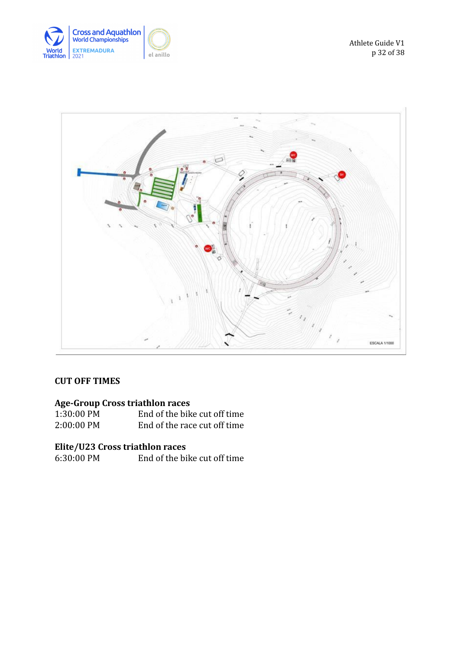



### **CUT OFF TIMES**

### **Age-Group Cross triathlon races**

| 1:30:00 PM | End of the bike cut off time |
|------------|------------------------------|
| 2:00:00 PM | End of the race cut off time |

**Elite/U23 Cross triathlon races** End of the bike cut off time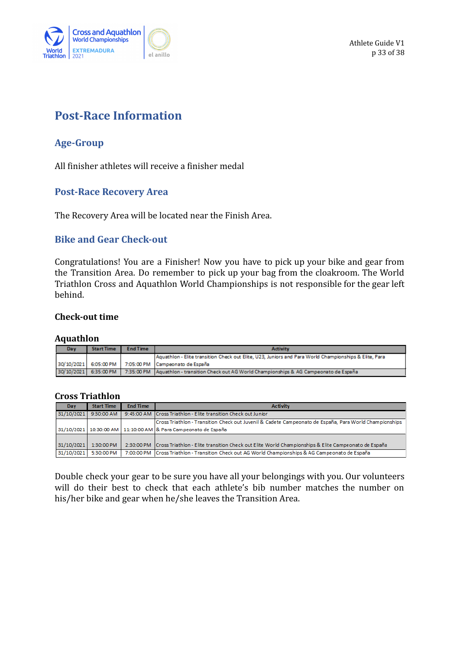

## <span id="page-32-0"></span>**Post-Race Information**

### <span id="page-32-1"></span>**Age-Group**

All finisher athletes will receive a finisher medal

### <span id="page-32-2"></span>**Post-Race Recovery Area**

The Recovery Area will be located near the Finish Area.

### <span id="page-32-3"></span>**Bike and Gear Check-out**

Congratulations! You are a Finisher! Now you have to pick up your bike and gear from the Transition Area. Do remember to pick up your bag from the cloakroom. The World Triathlon Cross and Aquathlon World Championships is not responsible for the gear left behind.

#### **Check-out time**

#### **Aquathlon**

| Da v | <b>Start Time</b>     | <b>End Time</b> | <b>Activity</b>                                                                                       |  |
|------|-----------------------|-----------------|-------------------------------------------------------------------------------------------------------|--|
|      |                       |                 | Aquathlon - Elite transition Check out Elite, U23, Juniors and Para World Championships & Elite, Para |  |
|      |                       |                 | 30/10/2021   6:05:00 PM   7:05:00 PM   Campeonato de España                                           |  |
|      | 30/10/2021 6:35:00 PM |                 | 7:35:00 PM   Aquathion - transition Check out AG World Championships & AG Campeonato de España        |  |

#### **Cross Triathlon**

| Dav        | <b>Start Time</b> | <b>End Time</b> | <b>Activity</b>                                                                                                  |  |
|------------|-------------------|-----------------|------------------------------------------------------------------------------------------------------------------|--|
| 31/10/2021 | 9:30:00 AM        |                 | 9:45:00 AM Cross Triathlon - Elite transition Check out Junior                                                   |  |
|            |                   |                 | Cross Triathlon - Transition Check out Juvenil & Cadete Campeonato de España, Para World Championships           |  |
|            |                   |                 | 31/10/2021 10:30:00 AM 11:10:00 AM & Para Campeonato de España                                                   |  |
|            |                   |                 |                                                                                                                  |  |
| 31/10/2021 | $1:30:00$ PM      |                 | 2:30:00 PM   Cross Triathlon - Elite transition Check out Elite World Championships & Elite Campeonato de España |  |
| 31/10/2021 | 5:30:00 PM        |                 | 7:00:00 PM   Cross Triathlon - Transition Check out AG World Championships & AG Campeonato de España             |  |

Double check your gear to be sure you have all your belongings with you. Our volunteers will do their best to check that each athlete's bib number matches the number on his/her bike and gear when he/she leaves the Transition Area.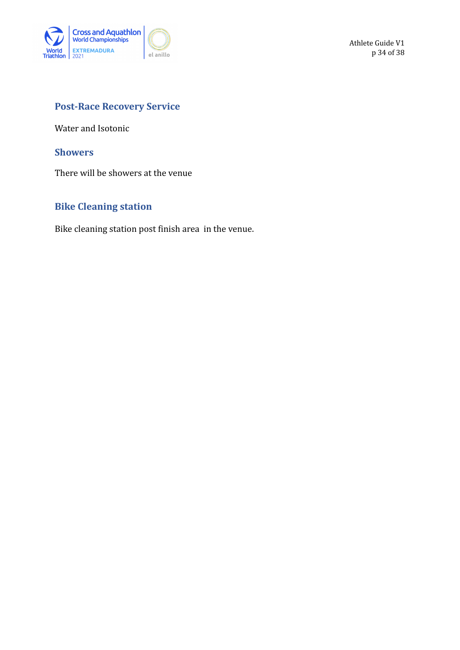

### <span id="page-33-0"></span>**Post-Race Recovery Service**

Water and Isotonic

#### <span id="page-33-1"></span>**Showers**

There will be showers at the venue

### <span id="page-33-2"></span>**Bike Cleaning station**

Bike cleaning station post finish area in the venue.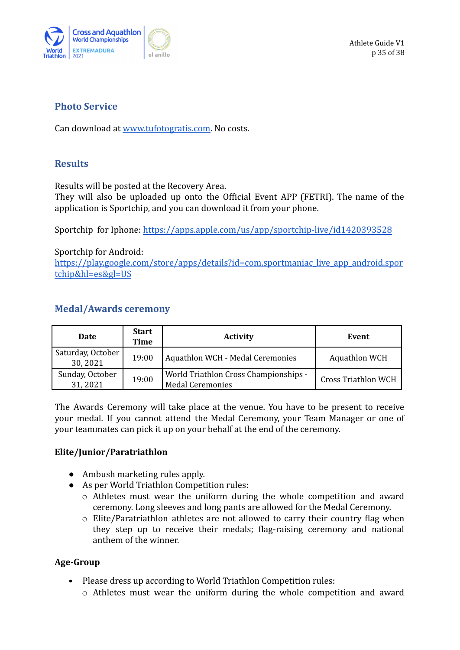

### <span id="page-34-0"></span>**Photo Service**

Can download at [www.tufotogratis.com.](http://www.tufotogratis.com) No costs.

### <span id="page-34-1"></span>**Results**

Results will be posted at the Recovery Area.

They will also be uploaded up onto the Official Event APP (FETRI). The name of the application is Sportchip, and you can download it from your phone.

Sportchip for Iphone: <https://apps.apple.com/us/app/sportchip-live/id1420393528>

Sportchip for Android:

[https://play.google.com/store/apps/details?id=com.sportmaniac\\_live\\_app\\_android.spor](https://play.google.com/store/apps/details?id=com.sportmaniac_live_app_android.sportchip&hl=es&gl=US) [tchip&hl=es&gl=US](https://play.google.com/store/apps/details?id=com.sportmaniac_live_app_android.sportchip&hl=es&gl=US)

### <span id="page-34-2"></span>**Medal/Awards ceremony**

| Date                         | <b>Start</b><br>Time | <b>Activity</b>                                                  | Event                      |
|------------------------------|----------------------|------------------------------------------------------------------|----------------------------|
| Saturday, October<br>30,2021 | 19:00                | <b>Aquathlon WCH - Medal Ceremonies</b>                          | <b>Aquathlon WCH</b>       |
| Sunday, October<br>31,2021   | 19:00                | World Triathlon Cross Championships -<br><b>Medal Ceremonies</b> | <b>Cross Triathlon WCH</b> |

The Awards Ceremony will take place at the venue. You have to be present to receive your medal. If you cannot attend the Medal Ceremony, your Team Manager or one of your teammates can pick it up on your behalf at the end of the ceremony.

### **Elite/Junior/Paratriathlon**

- Ambush marketing rules apply.
- As per World Triathlon Competition rules:
	- o Athletes must wear the uniform during the whole competition and award ceremony. Long sleeves and long pants are allowed for the Medal Ceremony.
	- o Elite/Paratriathlon athletes are not allowed to carry their country flag when they step up to receive their medals; flag-raising ceremony and national anthem of the winner.

### **Age-Group**

- Please dress up according to World Triathlon Competition rules:
	- o Athletes must wear the uniform during the whole competition and award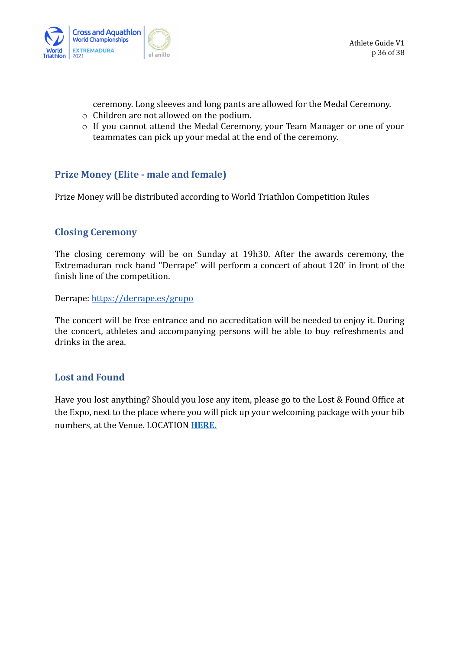

ceremony. Long sleeves and long pants are allowed for the Medal Ceremony.

- o Children are not allowed on the podium.
- o If you cannot attend the Medal Ceremony, your Team Manager or one of your teammates can pick up your medal at the end of the ceremony.

### <span id="page-35-0"></span>**Prize Money (Elite - male and female)**

Prize Money will be distributed according to World Triathlon Competition Rules

### <span id="page-35-1"></span>**Closing Ceremony**

The closing ceremony will be on Sunday at 19h30. After the awards ceremony, the Extremaduran rock band "Derrape" will perform a concert of about 120' in front of the finish line of the competition.

Derrape: <https://derrape.es/grupo>

The concert will be free entrance and no accreditation will be needed to enjoy it. During the concert, athletes and accompanying persons will be able to buy refreshments and drinks in the area.

### <span id="page-35-2"></span>**Lost and Found**

Have you lost anything? Should you lose any item, please go to the Lost & Found Office at the Expo, next to the place where you will pick up your welcoming package with your bib numbers, at the Venue. LOCATION **[HERE.](https://g.page/centro-niemeyer-asturias?share)**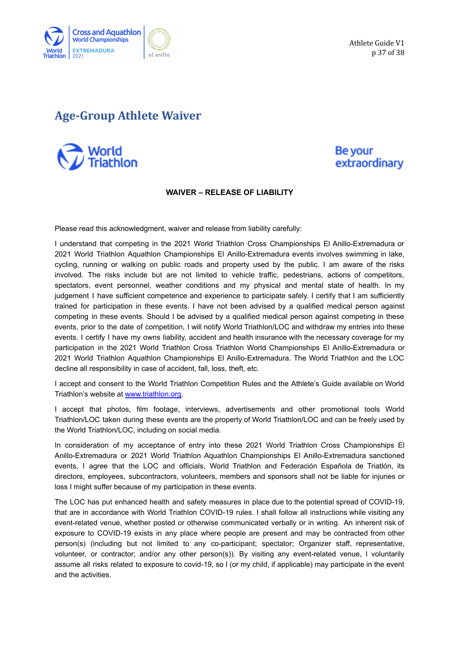

Athlete Guide V1 p 37 of 38

## <span id="page-36-0"></span>**Age-Group Athlete Waiver**



### Be your extraordinary

#### **WAIVER – RELEASE OF LIABILITY**

Please read this acknowledgment, waiver and release from liability carefully:

I understand that competing in the 2021 World Triathlon Cross Championships El Anillo-Extremadura or 2021 World Triathlon Aquathlon Championships El Anillo-Extremadura events involves swimming in lake, cycling, running or walking on public roads and property used by the public. I am aware of the risks involved. The risks include but are not limited to vehicle traffic, pedestrians, actions of competitors, spectators, event personnel, weather conditions and my physical and mental state of health. In my judgement I have sufficient competence and experience to participate safely. I certify that I am sufficiently trained for participation in these events. I have not been advised by a qualified medical person against competing in these events. Should I be advised by a qualified medical person against competing in these events, prior to the date of competition, I will notify World Triathlon/LOC and withdraw my entries into these events. I certify I have my owns liability, accident and health insurance with the necessary coverage for my participation in the 2021 World Triathlon Cross Triathlon World Championships El Anillo-Extremadura or 2021 World Triathlon Aquathlon Championships El Anillo-Extremadura. The World Triathlon and the LOC decline all responsibility in case of accident, fall, loss, theft, etc.

I accept and consent to the World Triathlon Competition Rules and the Athlete's Guide available on World Triathlon's website at [www.triathlon.org.](http://www.triathlon.org)

I accept that photos, film footage, interviews, advertisements and other promotional tools World Triathlon/LOC taken during these events are the property of World Triathlon/LOC and can be freely used by the World Triathlon/LOC, including on social media.

In consideration of my acceptance of entry into these 2021 World Triathlon Cross Championships El Anillo-Extremadura or 2021 World Triathlon Aquathlon Championships El Anillo-Extremadura sanctioned events, I agree that the LOC and officials, World Triathlon and Federación Española de Triatlón, its directors, employees, subcontractors, volunteers, members and sponsors shall not be liable for injuries or loss I might suffer because of my participation in these events.

The LOC has put enhanced health and safety measures in place due to the potential spread of COVID-19, that are in accordance with World Triathlon COVID-19 rules. I shall follow all instructions while visiting any event-related venue, whether posted or otherwise communicated verbally or in writing. An inherent risk of exposure to COVID-19 exists in any place where people are present and may be contracted from other person(s) (including but not limited to any co-participant; spectator; Organizer staff, representative, volunteer, or contractor; and/or any other person(s)). By visiting any event-related venue, I voluntarily assume all risks related to exposure to covid-19, so I (or my child, if applicable) may participate in the event and the activities.